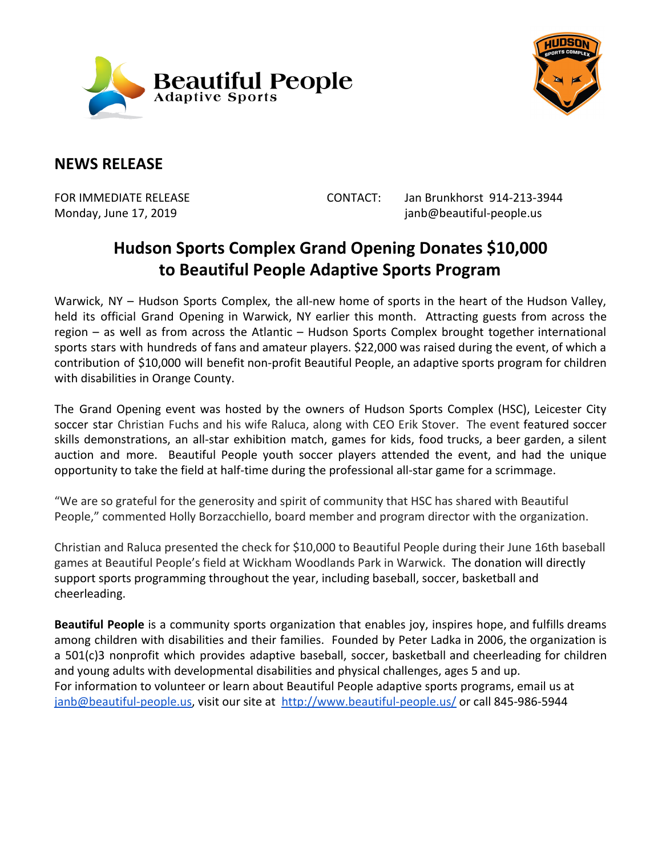



## **NEWS RELEASE**

FOR IMMEDIATE RELEASE CONTACT: Jan Brunkhorst 914-213-3944 Monday, June 17, 2019 **June 19, 2019 janb@beautiful-people.us** 

## **Hudson Sports Complex Grand Opening Donates \$10,000 to Beautiful People Adaptive Sports Program**

Warwick, NY – Hudson Sports Complex, the all-new home of sports in the heart of the Hudson Valley, held its official Grand Opening in Warwick, NY earlier this month. Attracting guests from across the region – as well as from across the Atlantic – Hudson Sports Complex brought together international sports stars with hundreds of fans and amateur players. \$22,000 was raised during the event, of which a contribution of \$10,000 will benefit non-profit Beautiful People, an adaptive sports program for children with disabilities in Orange County.

The Grand Opening event was hosted by the owners of Hudson Sports Complex (HSC), Leicester City soccer star Christian Fuchs and his wife Raluca, along with CEO Erik Stover. The event featured soccer skills demonstrations, an all-star exhibition match, games for kids, food trucks, a beer garden, a silent auction and more. Beautiful People youth soccer players attended the event, and had the unique opportunity to take the field at half-time during the professional all-star game for a scrimmage.

"We are so grateful for the generosity and spirit of community that HSC has shared with Beautiful People," commented Holly Borzacchiello, board member and program director with the organization.

Christian and Raluca presented the check for \$10,000 to Beautiful People during their June 16th baseball games at Beautiful People's field at Wickham Woodlands Park in Warwick. The donation will directly support sports programming throughout the year, including baseball, soccer, basketball and cheerleading.

**Beautiful People** is a community sports organization that enables joy, inspires hope, and fulfills dreams among children with disabilities and their families. Founded by Peter Ladka in 2006, the organization is a 501(c)3 nonprofit which provides adaptive baseball, soccer, basketball and cheerleading for children and young adults with developmental disabilities and physical challenges, ages 5 and up. For information to volunteer or learn about Beautiful People adaptive sports programs, email us at [janb@beautiful-people.us,](mailto:janb@beautiful-people.us) visit our site at <http://www.beautiful-people.us/> or call 845-986-5944